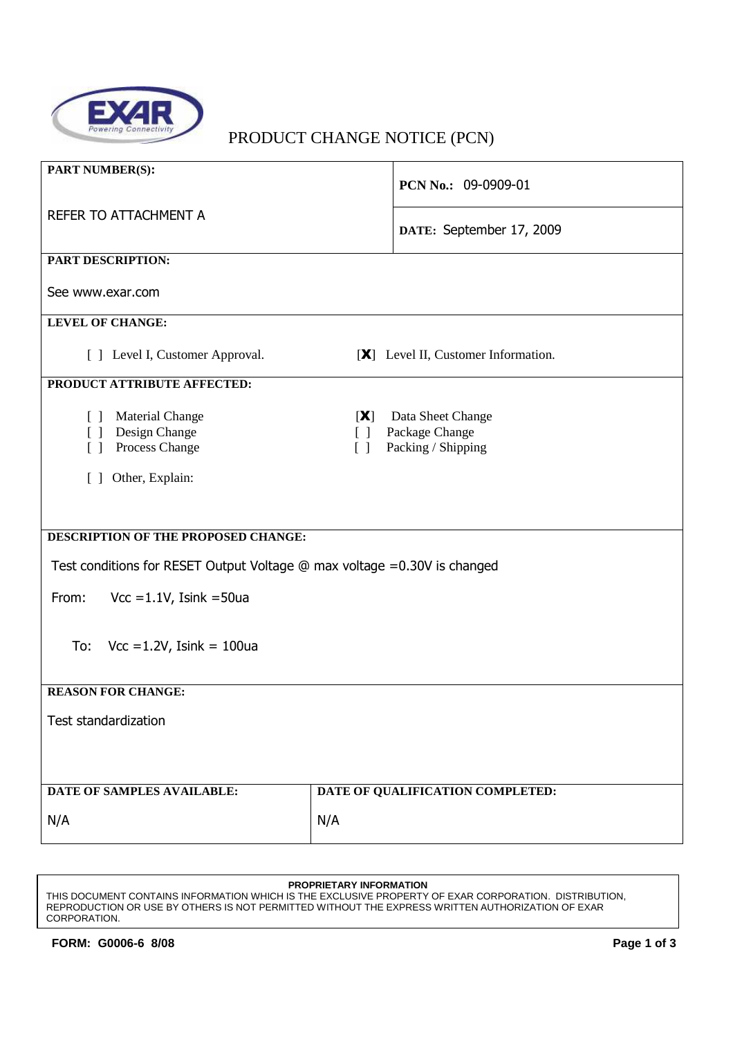

# PRODUCT CHANGE NOTICE (PCN)

| <b>PART NUMBER(S):</b>                                                                                                            | PCN No.: 09-0909-01                                                                                                    |  |  |  |
|-----------------------------------------------------------------------------------------------------------------------------------|------------------------------------------------------------------------------------------------------------------------|--|--|--|
| REFER TO ATTACHMENT A                                                                                                             | DATE: September 17, 2009                                                                                               |  |  |  |
| PART DESCRIPTION:                                                                                                                 |                                                                                                                        |  |  |  |
| See www.exar.com                                                                                                                  |                                                                                                                        |  |  |  |
| <b>LEVEL OF CHANGE:</b>                                                                                                           |                                                                                                                        |  |  |  |
| [ ] Level I, Customer Approval.                                                                                                   | [X] Level II, Customer Information.                                                                                    |  |  |  |
| PRODUCT ATTRIBUTE AFFECTED:                                                                                                       |                                                                                                                        |  |  |  |
| <b>Material Change</b><br>$\Box$<br>Design Change<br>$\begin{bmatrix} \\ \\ \end{bmatrix}$<br>Process Change<br>$\lceil$ $\rceil$ | Data Sheet Change<br>[X]<br>Package Change<br>$\begin{bmatrix} \end{bmatrix}$<br>Packing / Shipping<br>$\lceil \rceil$ |  |  |  |
| Other, Explain:<br>$\Box$                                                                                                         |                                                                                                                        |  |  |  |
|                                                                                                                                   |                                                                                                                        |  |  |  |
| DESCRIPTION OF THE PROPOSED CHANGE:                                                                                               |                                                                                                                        |  |  |  |
| Test conditions for RESET Output Voltage @ max voltage =0.30V is changed                                                          |                                                                                                                        |  |  |  |
| From:<br>Vcc = $1.1V$ , Isink = $50u$ a                                                                                           |                                                                                                                        |  |  |  |
| To:<br>$\text{Vcc} = 1.2 \text{V}$ , Isink = 100ua                                                                                |                                                                                                                        |  |  |  |
| <b>REASON FOR CHANGE:</b>                                                                                                         |                                                                                                                        |  |  |  |
| Test standardization                                                                                                              |                                                                                                                        |  |  |  |
|                                                                                                                                   |                                                                                                                        |  |  |  |
| DATE OF SAMPLES AVAILABLE:                                                                                                        | DATE OF QUALIFICATION COMPLETED:                                                                                       |  |  |  |
| N/A                                                                                                                               | N/A                                                                                                                    |  |  |  |

#### **PROPRIETARY INFORMATION**

THIS DOCUMENT CONTAINS INFORMATION WHICH IS THE EXCLUSIVE PROPERTY OF EXAR CORPORATION. DISTRIBUTION, REPRODUCTION OR USE BY OTHERS IS NOT PERMITTED WITHOUT THE EXPRESS WRITTEN AUTHORIZATION OF EXAR CORPORATION.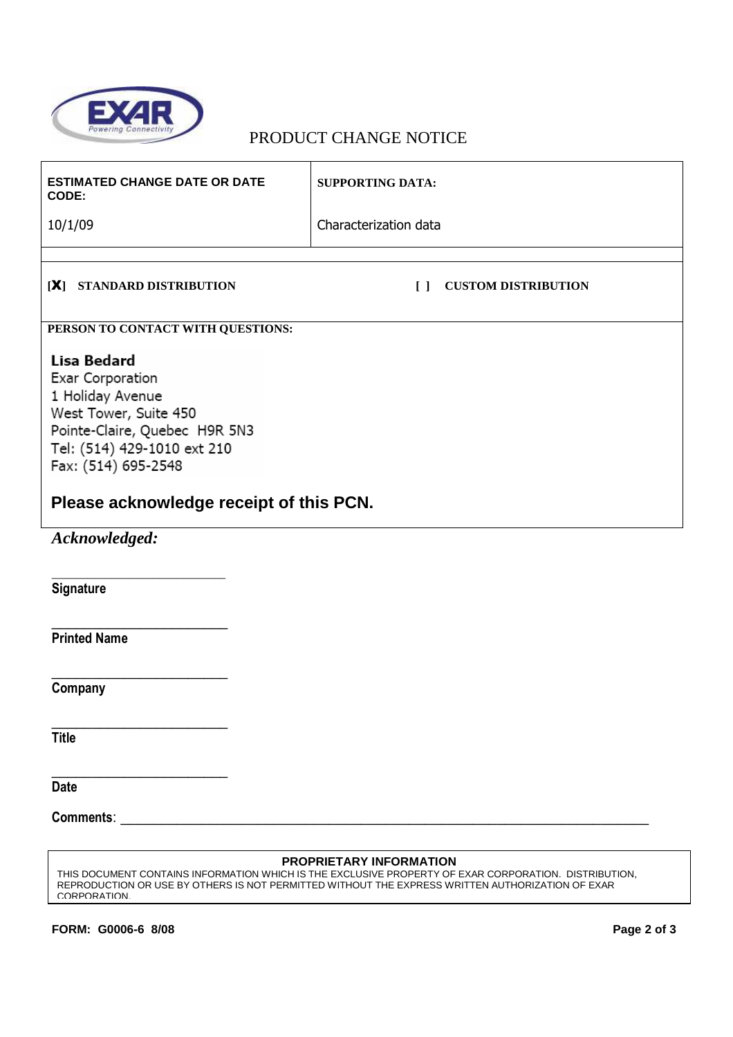

## PRODUCT CHANGE NOTICE

| <b>ESTIMATED CHANGE DATE OR DATE</b><br>CODE:                                                                                                                                                                  | <b>SUPPORTING DATA:</b>              |  |  |  |
|----------------------------------------------------------------------------------------------------------------------------------------------------------------------------------------------------------------|--------------------------------------|--|--|--|
| 10/1/09                                                                                                                                                                                                        | Characterization data                |  |  |  |
|                                                                                                                                                                                                                |                                      |  |  |  |
| [X] STANDARD DISTRIBUTION                                                                                                                                                                                      | $\Box$<br><b>CUSTOM DISTRIBUTION</b> |  |  |  |
| PERSON TO CONTACT WITH QUESTIONS:                                                                                                                                                                              |                                      |  |  |  |
| Lisa Bedard<br>Exar Corporation<br>1 Holiday Avenue<br>West Tower, Suite 450<br>Pointe-Claire, Quebec H9R 5N3<br>Tel: (514) 429-1010 ext 210<br>Fax: (514) 695-2548<br>Please acknowledge receipt of this PCN. |                                      |  |  |  |
| Acknowledged:                                                                                                                                                                                                  |                                      |  |  |  |
| <b>Signature</b>                                                                                                                                                                                               |                                      |  |  |  |
| <b>Printed Name</b>                                                                                                                                                                                            |                                      |  |  |  |
| Company                                                                                                                                                                                                        |                                      |  |  |  |

**Title** 

**Date** 

Comments: \_

#### **PROPRIETARY INFORMATION**

THIS DOCUMENT CONTAINS INFORMATION WHICH IS THE EXCLUSIVE PROPERTY OF EXAR CORPORATION. DISTRIBUTION, REPRODUCTION OR USE BY OTHERS IS NOT PERMITTED WITHOUT THE EXPRESS WRITTEN AUTHORIZATION OF EXAR CORPORATION.

**FORM: G0006-6 8/08 Page 2 of 3** 

\_\_\_\_\_\_\_\_\_\_\_\_\_\_\_\_\_\_\_\_\_\_

\_\_\_\_\_\_\_\_\_\_\_\_\_\_\_\_\_\_\_\_\_\_